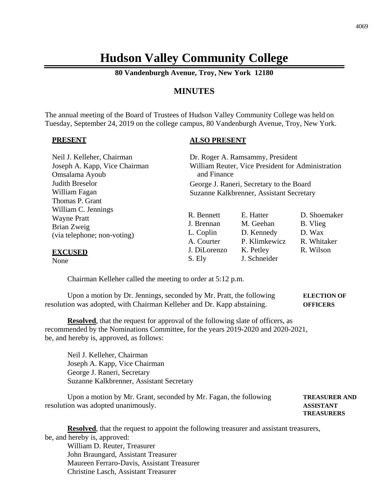# **Hudson Valley Community College**

**80 Vandenburgh Avenue, Troy, New York 12180**

## **MINUTES**

The annual meeting of the Board of Trustees of Hudson Valley Community College was held on Tuesday, September 24, 2019 on the college campus, 80 Vandenburgh Avenue, Troy, New York.

#### **PRESENT**

### **ALSO PRESENT**

| Neil J. Kelleher, Chairman    | Dr. Roger A. Ramsammy, President         |                                                   |              |
|-------------------------------|------------------------------------------|---------------------------------------------------|--------------|
| Joseph A. Kapp, Vice Chairman |                                          | William Reuter, Vice President for Administration |              |
| Omsalama Ayoub                | and Finance                              |                                                   |              |
| Judith Breselor               | George J. Raneri, Secretary to the Board |                                                   |              |
| William Fagan                 | Suzanne Kalkbrenner, Assistant Secretary |                                                   |              |
| Thomas P. Grant               |                                          |                                                   |              |
| William C. Jennings           |                                          |                                                   |              |
| <b>Wayne Pratt</b>            | R. Bennett                               | E. Hatter                                         | D. Shoemaker |
| Brian Zweig                   | J. Brennan                               | M. Geehan                                         | B. Vlieg     |
| (via telephone; non-voting)   | L. Coplin                                | D. Kennedy                                        | D. Wax       |
|                               | A. Courter                               | P. Klimkewicz                                     | R. Whitaker  |
| <b>EXCUSED</b>                | J. DiLorenzo                             | K. Petley                                         | R. Wilson    |
| None                          | S. Ely                                   | J. Schneider                                      |              |

Chairman Kelleher called the meeting to order at 5:12 p.m.

Upon a motion by Dr. Jennings, seconded by Mr. Pratt, the following **ELECTION OF** resolution was adopted, with Chairman Kelleher and Dr. Kapp abstaining. **OFFICERS**

**Resolved**, that the request for approval of the following slate of officers, as recommended by the Nominations Committee, for the years 2019-2020 and 2020-2021, be, and hereby is, approved, as follows:

Neil J. Kelleher, Chairman Joseph A. Kapp, Vice Chairman George J. Raneri, Secretary Suzanne Kalkbrenner, Assistant Secretary

Upon a motion by Mr. Grant, seconded by Mr. Fagan, the following **TREASURER AND** resolution was adopted unanimously. **ASSISTANT TREASURERS**

**Resolved**, that the request to appoint the following treasurer and assistant treasurers, be, and hereby is, approved:

William D. Reuter, Treasurer John Braungard, Assistant Treasurer Maureen Ferraro-Davis, Assistant Treasurer Christine Lasch, Assistant Treasurer